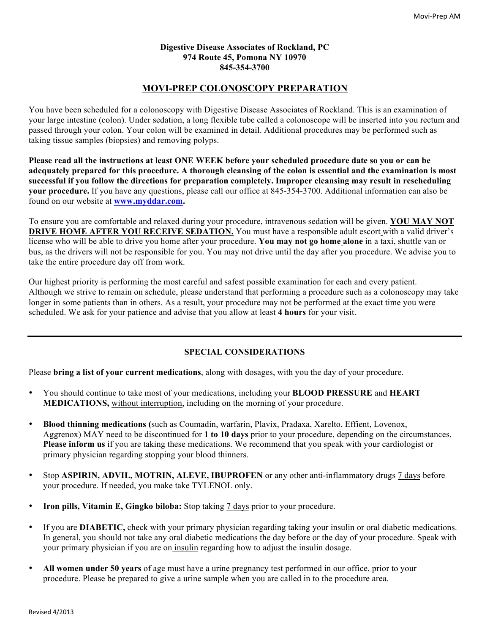#### **Digestive Disease Associates of Rockland, PC 974 Route 45, Pomona NY 10970 845-354-3700**

# **MOVI-PREP COLONOSCOPY PREPARATION**

You have been scheduled for a colonoscopy with Digestive Disease Associates of Rockland. This is an examination of your large intestine (colon). Under sedation, a long flexible tube called a colonoscope will be inserted into you rectum and passed through your colon. Your colon will be examined in detail. Additional procedures may be performed such as taking tissue samples (biopsies) and removing polyps.

**Please read all the instructions at least ONE WEEK before your scheduled procedure date so you or can be adequately prepared for this procedure. A thorough cleansing of the colon is essential and the examination is most successful if you follow the directions for preparation completely. Improper cleansing may result in rescheduling your procedure.** If you have any questions, please call our office at 845-354-3700. Additional information can also be found on our website at **www.myddar.com.**

To ensure you are comfortable and relaxed during your procedure, intravenous sedation will be given. **YOU MAY NOT DRIVE HOME AFTER YOU RECEIVE SEDATION.** You must have a responsible adult escort with a valid driver's license who will be able to drive you home after your procedure. **You may not go home alone** in a taxi, shuttle van or bus, as the drivers will not be responsible for you. You may not drive until the day after you procedure. We advise you to take the entire procedure day off from work.

Our highest priority is performing the most careful and safest possible examination for each and every patient. Although we strive to remain on schedule, please understand that performing a procedure such as a colonoscopy may take longer in some patients than in others. As a result, your procedure may not be performed at the exact time you were scheduled. We ask for your patience and advise that you allow at least **4 hours** for your visit.

## **SPECIAL CONSIDERATIONS**

Please **bring a list of your current medications**, along with dosages, with you the day of your procedure.

- You should continue to take most of your medications, including your **BLOOD PRESSURE** and **HEART MEDICATIONS,** without interruption, including on the morning of your procedure.
- **Blood thinning medications (**such as Coumadin, warfarin, Plavix, Pradaxa, Xarelto, Effient, Lovenox, Aggrenox) MAY need to be discontinued for **1 to 10 days** prior to your procedure, depending on the circumstances. **Please inform us** if you are taking these medications. We recommend that you speak with your cardiologist or primary physician regarding stopping your blood thinners.
- Stop **ASPIRIN, ADVIL, MOTRIN, ALEVE, IBUPROFEN** or any other anti-inflammatory drugs 7 days before your procedure. If needed, you make take TYLENOL only.
- **Iron pills, Vitamin E, Gingko biloba:** Stop taking 7 days prior to your procedure.
- If you are **DIABETIC,** check with your primary physician regarding taking your insulin or oral diabetic medications. In general, you should not take any oral diabetic medications the day before or the day of your procedure. Speak with your primary physician if you are on insulin regarding how to adjust the insulin dosage.
- **All women under 50 years** of age must have a urine pregnancy test performed in our office, prior to your procedure. Please be prepared to give a urine sample when you are called in to the procedure area.